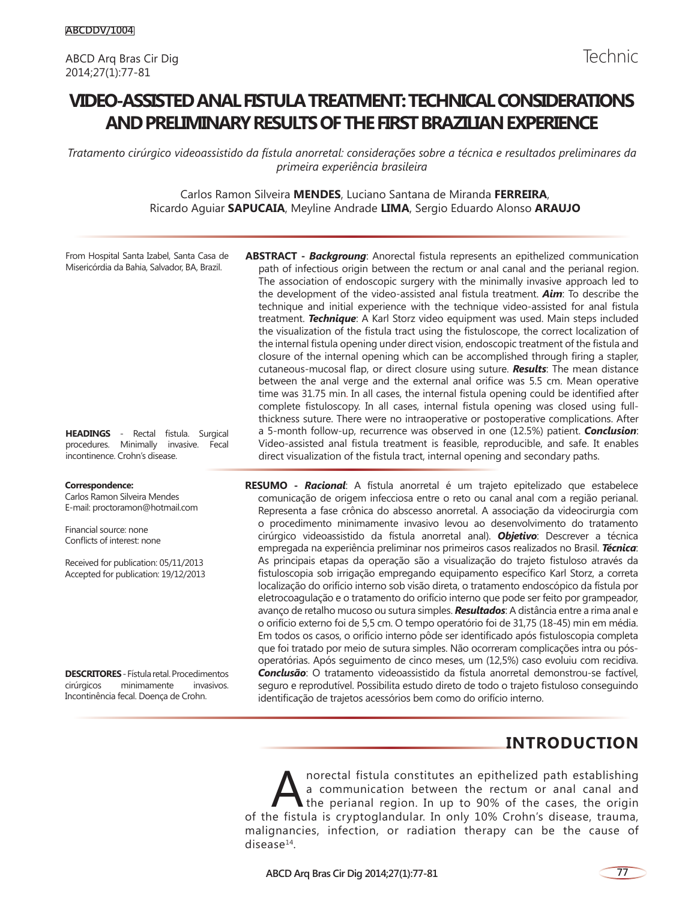# **VIDEO-ASSISTED ANAL FISTULA TREATMENT: TECHNICAL CONSIDERATIONS AND PRELIMINARY RESULTS OF THE FIRST BRAZILIAN EXPERIENCE**

*Tratamento cirúrgico videoassistido da fístula anorretal: considerações sobre a técnica e resultados preliminares da primeira experiência brasileira*

### Carlos Ramon Silveira **MENDES**, Luciano Santana de Miranda **FERREIRA**, Ricardo Aguiar **SAPUCAIA**, Meyline Andrade **LIMA**, Sergio Eduardo Alonso **ARAUJO**

From Hospital Santa Izabel, Santa Casa de Misericórdia da Bahia, Salvador, BA, Brazil.

**HEADINGS** - Rectal fistula. Surgical procedures. Minimally invasive. Fecal incontinence. Crohn's disease.

#### **Correspondence:**

Carlos Ramon Silveira Mendes E-mail: proctoramon@hotmail.com

Financial source: none Conflicts of interest: none

Received for publication: 05/11/2013 Accepted for publication: 19/12/2013

**DESCRITORES** - Fístula retal. Procedimentos cirúrgicos minimamente invasivos. Incontinência fecal. Doença de Crohn.

**ABSTRACT -** *Backgroung*: Anorectal fistula represents an epithelized communication path of infectious origin between the rectum or anal canal and the perianal region. The association of endoscopic surgery with the minimally invasive approach led to the development of the video-assisted anal fistula treatment. *Aim*: To describe the technique and initial experience with the technique video-assisted for anal fistula treatment. *Technique*: A Karl Storz video equipment was used. Main steps included the visualization of the fistula tract using the fistuloscope, the correct localization of the internal fistula opening under direct vision, endoscopic treatment of the fistula and closure of the internal opening which can be accomplished through firing a stapler, cutaneous-mucosal flap, or direct closure using suture. *Results*: The mean distance between the anal verge and the external anal orifice was 5.5 cm. Mean operative time was 31.75 min. In all cases, the internal fistula opening could be identified after complete fistuloscopy. In all cases, internal fistula opening was closed using fullthickness suture. There were no intraoperative or postoperative complications. After a 5-month follow-up, recurrence was observed in one (12.5%) patient. *Conclusion*: Video-assisted anal fistula treatment is feasible, reproducible, and safe. It enables direct visualization of the fistula tract, internal opening and secondary paths.

**RESUMO -** *Racional*: A fístula anorretal é um trajeto epitelizado que estabelece comunicação de origem infecciosa entre o reto ou canal anal com a região perianal. Representa a fase crônica do abscesso anorretal. A associação da videocirurgia com o procedimento minimamente invasivo levou ao desenvolvimento do tratamento cirúrgico videoassistido da fístula anorretal anal). *Objetivo*: Descrever a técnica empregada na experiência preliminar nos primeiros casos realizados no Brasil. *Técnica*: As principais etapas da operação são a visualização do trajeto fistuloso através da fistuloscopia sob irrigação empregando equipamento específico Karl Storz, a correta localização do orifício interno sob visão direta, o tratamento endoscópico da fístula por eletrocoagulação e o tratamento do orifício interno que pode ser feito por grampeador, avanço de retalho mucoso ou sutura simples. *Resultados*: A distância entre a rima anal e o orifício externo foi de 5,5 cm. O tempo operatório foi de 31,75 (18-45) min em média. Em todos os casos, o orifício interno pôde ser identificado após fistuloscopia completa que foi tratado por meio de sutura simples. Não ocorreram complicações intra ou pósoperatórias. Após seguimento de cinco meses, um (12,5%) caso evoluiu com recidiva. *Conclusão*: O tratamento videoassistido da fístula anorretal demonstrou-se factível, seguro e reprodutível. Possibilita estudo direto de todo o trajeto fistuloso conseguindo identificação de trajetos acessórios bem como do orifício interno.

## **INTRODUCTION**

Anorectal fistula constitutes an epithelized path establishing<br>
a communication between the rectum or anal canal and<br>
the perianal region. In up to 90% of the cases, the origin<br>
consisting is spurtoclandular In apply 10% C a communication between the rectum or anal canal and of the fistula is cryptoglandular. In only 10% Crohn's disease, trauma, malignancies, infection, or radiation therapy can be the cause of disease<sup>14</sup>.

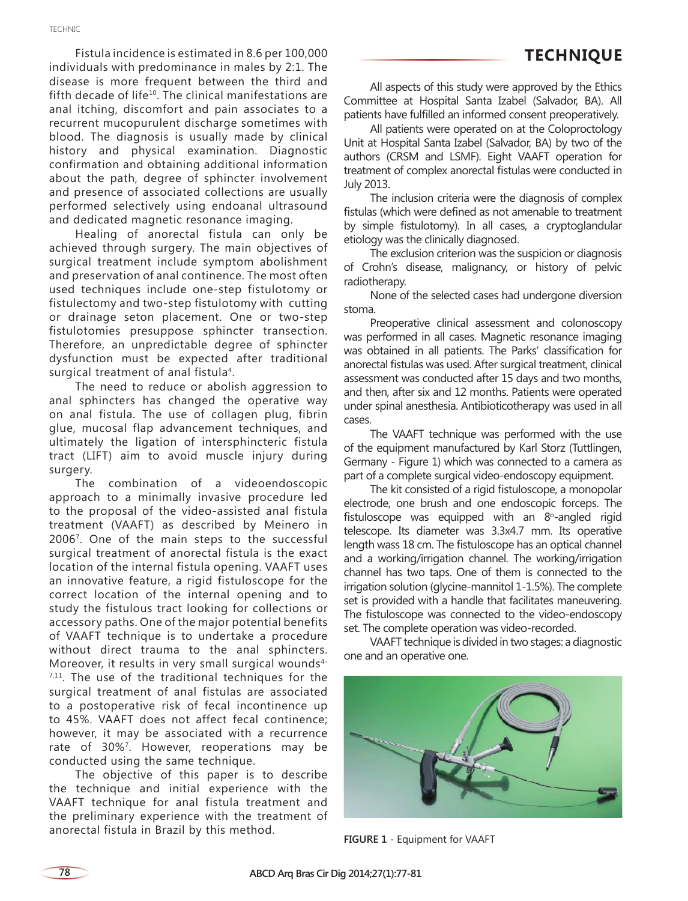Fistula incidence is estimated in 8.6 per 100,000 individuals with predominance in males by 2:1. The disease is more frequent between the third and fifth decade of life<sup>10</sup>. The clinical manifestations are anal itching, discomfort and pain associates to a recurrent mucopurulent discharge sometimes with blood. The diagnosis is usually made by clinical history and physical examination. Diagnostic confirmation and obtaining additional information about the path, degree of sphincter involvement and presence of associated collections are usually performed selectively using endoanal ultrasound and dedicated magnetic resonance imaging.

Healing of anorectal fistula can only be achieved through surgery. The main objectives of surgical treatment include symptom abolishment and preservation of anal continence. The most often used techniques include one-step fistulotomy or fistulectomy and two-step fistulotomy with cutting or drainage seton placement. One or two-step fistulotomies presuppose sphincter transection. Therefore, an unpredictable degree of sphincter dysfunction must be expected after traditional surgical treatment of anal fistula<sup>4</sup>.

The need to reduce or abolish aggression to anal sphincters has changed the operative way on anal fistula. The use of collagen plug, fibrin glue, mucosal flap advancement techniques, and ultimately the ligation of intersphincteric fistula tract (LIFT) aim to avoid muscle injury during surgery.

The combination of a videoendoscopic approach to a minimally invasive procedure led to the proposal of the video-assisted anal fistula treatment (VAAFT) as described by Meinero in 20067. One of the main steps to the successful surgical treatment of anorectal fistula is the exact location of the internal fistula opening. VAAFT uses an innovative feature, a rigid fistuloscope for the correct location of the internal opening and to study the fistulous tract looking for collections or accessory paths. One of the major potential benefits of VAAFT technique is to undertake a procedure without direct trauma to the anal sphincters. Moreover, it results in very small surgical wounds<sup>4-</sup>  $7,11$ . The use of the traditional techniques for the surgical treatment of anal fistulas are associated to a postoperative risk of fecal incontinence up to 45%. VAAFT does not affect fecal continence; however, it may be associated with a recurrence rate of 30%<sup>7</sup>. However, reoperations may be conducted using the same technique.

The objective of this paper is to describe the technique and initial experience with the VAAFT technique for anal fistula treatment and the preliminary experience with the treatment of anorectal fistula in Brazil by this method.

## **TECHNIQUE**

All aspects of this study were approved by the Ethics Committee at Hospital Santa Izabel (Salvador, BA). All patients have fulfilled an informed consent preoperatively.

All patients were operated on at the Coloproctology Unit at Hospital Santa Izabel (Salvador, BA) by two of the authors (CRSM and LSMF). Eight VAAFT operation for treatment of complex anorectal fistulas were conducted in July 2013.

The inclusion criteria were the diagnosis of complex fistulas (which were defined as not amenable to treatment by simple fistulotomy). In all cases, a cryptoglandular etiology was the clinically diagnosed.

The exclusion criterion was the suspicion or diagnosis of Crohn's disease, malignancy, or history of pelvic radiotherapy.

None of the selected cases had undergone diversion stoma.

Preoperative clinical assessment and colonoscopy was performed in all cases. Magnetic resonance imaging was obtained in all patients. The Parks' classification for anorectal fistulas was used. After surgical treatment, clinical assessment was conducted after 15 days and two months, and then, after six and 12 months. Patients were operated under spinal anesthesia. Antibioticotherapy was used in all cases.

The VAAFT technique was performed with the use of the equipment manufactured by Karl Storz (Tuttlingen, Germany - Figure 1) which was connected to a camera as part of a complete surgical video-endoscopy equipment.

The kit consisted of a rigid fistuloscope, a monopolar electrode, one brush and one endoscopic forceps. The fistuloscope was equipped with an  $8^\circ$ -angled rigid telescope. Its diameter was 3.3x4.7 mm. Its operative length wass 18 cm. The fistuloscope has an optical channel and a working/irrigation channel. The working/irrigation channel has two taps. One of them is connected to the irrigation solution (glycine-mannitol 1-1.5%). The complete set is provided with a handle that facilitates maneuvering. The fistuloscope was connected to the video-endoscopy set. The complete operation was video-recorded.

VAAFT technique is divided in two stages: a diagnostic one and an operative one.



**FIGURE 1** - Equipment for VAAFT

$$
\boxed{78}
$$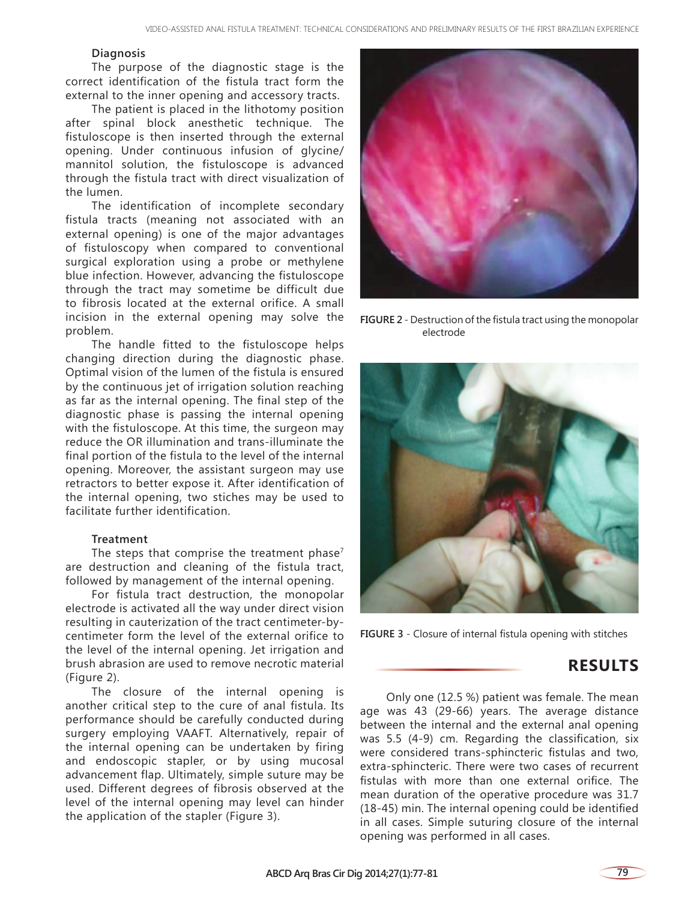#### **Diagnosis**

The purpose of the diagnostic stage is the correct identification of the fistula tract form the external to the inner opening and accessory tracts.

The patient is placed in the lithotomy position after spinal block anesthetic technique. The fistuloscope is then inserted through the external opening. Under continuous infusion of glycine/ mannitol solution, the fistuloscope is advanced through the fistula tract with direct visualization of the lumen.

The identification of incomplete secondary fistula tracts (meaning not associated with an external opening) is one of the major advantages of fistuloscopy when compared to conventional surgical exploration using a probe or methylene blue infection. However, advancing the fistuloscope through the tract may sometime be difficult due to fibrosis located at the external orifice. A small incision in the external opening may solve the problem.

The handle fitted to the fistuloscope helps changing direction during the diagnostic phase. Optimal vision of the lumen of the fistula is ensured by the continuous jet of irrigation solution reaching as far as the internal opening. The final step of the diagnostic phase is passing the internal opening with the fistuloscope. At this time, the surgeon may reduce the OR illumination and trans-illuminate the final portion of the fistula to the level of the internal opening. Moreover, the assistant surgeon may use retractors to better expose it. After identification of the internal opening, two stiches may be used to facilitate further identification.

#### **Treatment**

The steps that comprise the treatment phase<sup>7</sup> are destruction and cleaning of the fistula tract, followed by management of the internal opening.

For fistula tract destruction, the monopolar electrode is activated all the way under direct vision resulting in cauterization of the tract centimeter-bycentimeter form the level of the external orifice to the level of the internal opening. Jet irrigation and brush abrasion are used to remove necrotic material (Figure 2).

The closure of the internal opening is another critical step to the cure of anal fistula. Its performance should be carefully conducted during surgery employing VAAFT. Alternatively, repair of the internal opening can be undertaken by firing and endoscopic stapler, or by using mucosal advancement flap. Ultimately, simple suture may be used. Different degrees of fibrosis observed at the level of the internal opening may level can hinder the application of the stapler (Figure 3).



**FIGURE 2** - Destruction of the fistula tract using the monopolar electrode



**FIGURE 3** - Closure of internal fistula opening with stitches

### **RESULTS**

Only one (12.5 %) patient was female. The mean age was 43 (29-66) years. The average distance between the internal and the external anal opening was 5.5 (4-9) cm. Regarding the classification, six were considered trans-sphincteric fistulas and two, extra-sphincteric. There were two cases of recurrent fistulas with more than one external orifice. The mean duration of the operative procedure was 31.7 (18-45) min. The internal opening could be identified in all cases. Simple suturing closure of the internal opening was performed in all cases.

$$
\boxed{79}
$$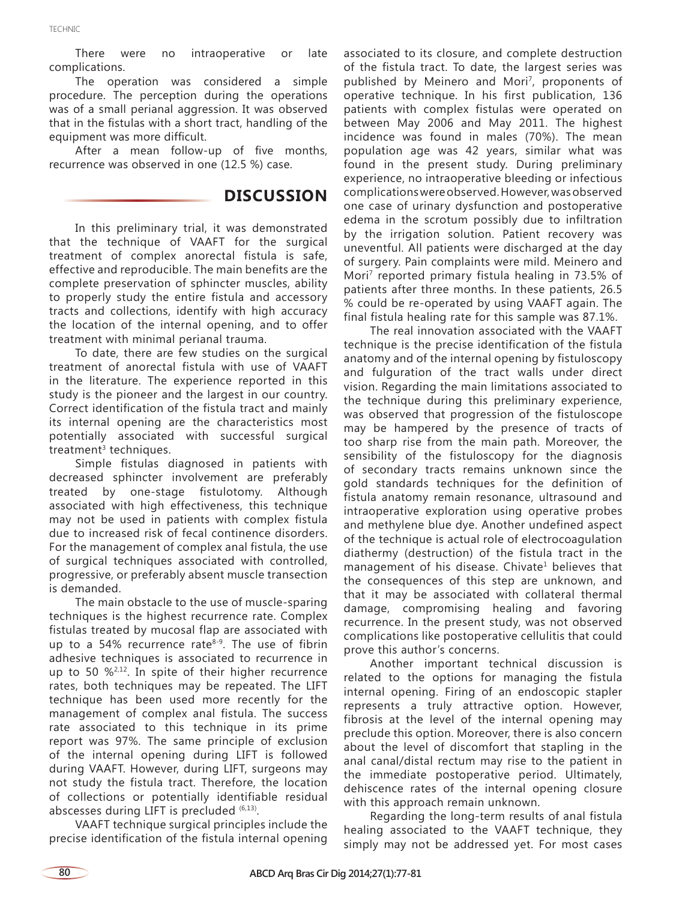There were no intraoperative or late complications.

The operation was considered a simple procedure. The perception during the operations was of a small perianal aggression. It was observed that in the fistulas with a short tract, handling of the equipment was more difficult.

After a mean follow-up of five months, recurrence was observed in one (12.5 %) case.

### **DISCUSSION**

In this preliminary trial, it was demonstrated that the technique of VAAFT for the surgical treatment of complex anorectal fistula is safe, effective and reproducible. The main benefits are the complete preservation of sphincter muscles, ability to properly study the entire fistula and accessory tracts and collections, identify with high accuracy the location of the internal opening, and to offer treatment with minimal perianal trauma.

To date, there are few studies on the surgical treatment of anorectal fistula with use of VAAFT in the literature. The experience reported in this study is the pioneer and the largest in our country. Correct identification of the fistula tract and mainly its internal opening are the characteristics most potentially associated with successful surgical treatment<sup>3</sup> techniques.

Simple fistulas diagnosed in patients with decreased sphincter involvement are preferably treated by one-stage fistulotomy. Although associated with high effectiveness, this technique may not be used in patients with complex fistula due to increased risk of fecal continence disorders. For the management of complex anal fistula, the use of surgical techniques associated with controlled, progressive, or preferably absent muscle transection is demanded.

The main obstacle to the use of muscle-sparing techniques is the highest recurrence rate. Complex fistulas treated by mucosal flap are associated with up to a 54% recurrence rate $8-9$ . The use of fibrin adhesive techniques is associated to recurrence in up to 50  $\frac{2^{2}}{12}$ . In spite of their higher recurrence rates, both techniques may be repeated. The LIFT technique has been used more recently for the management of complex anal fistula. The success rate associated to this technique in its prime report was 97%. The same principle of exclusion of the internal opening during LIFT is followed during VAAFT. However, during LIFT, surgeons may not study the fistula tract. Therefore, the location of collections or potentially identifiable residual abscesses during LIFT is precluded (6,13).

VAAFT technique surgical principles include the precise identification of the fistula internal opening

associated to its closure, and complete destruction of the fistula tract. To date, the largest series was published by Meinero and Mori7, proponents of operative technique. In his first publication, 136 patients with complex fistulas were operated on between May 2006 and May 2011. The highest incidence was found in males (70%). The mean population age was 42 years, similar what was found in the present study. During preliminary experience, no intraoperative bleeding or infectious complications were observed. However, was observed one case of urinary dysfunction and postoperative edema in the scrotum possibly due to infiltration by the irrigation solution. Patient recovery was uneventful. All patients were discharged at the day of surgery. Pain complaints were mild. Meinero and Mori7 reported primary fistula healing in 73.5% of patients after three months. In these patients, 26.5 % could be re-operated by using VAAFT again. The final fistula healing rate for this sample was 87.1%.

The real innovation associated with the VAAFT technique is the precise identification of the fistula anatomy and of the internal opening by fistuloscopy and fulguration of the tract walls under direct vision. Regarding the main limitations associated to the technique during this preliminary experience, was observed that progression of the fistuloscope may be hampered by the presence of tracts of too sharp rise from the main path. Moreover, the sensibility of the fistuloscopy for the diagnosis of secondary tracts remains unknown since the gold standards techniques for the definition of fistula anatomy remain resonance, ultrasound and intraoperative exploration using operative probes and methylene blue dye. Another undefined aspect of the technique is actual role of electrocoagulation diathermy (destruction) of the fistula tract in the management of his disease. Chivate<sup>1</sup> believes that the consequences of this step are unknown, and that it may be associated with collateral thermal damage, compromising healing and favoring recurrence. In the present study, was not observed complications like postoperative cellulitis that could prove this author's concerns.

Another important technical discussion is related to the options for managing the fistula internal opening. Firing of an endoscopic stapler represents a truly attractive option. However, fibrosis at the level of the internal opening may preclude this option. Moreover, there is also concern about the level of discomfort that stapling in the anal canal/distal rectum may rise to the patient in the immediate postoperative period. Ultimately, dehiscence rates of the internal opening closure with this approach remain unknown.

Regarding the long-term results of anal fistula healing associated to the VAAFT technique, they simply may not be addressed yet. For most cases

**80**